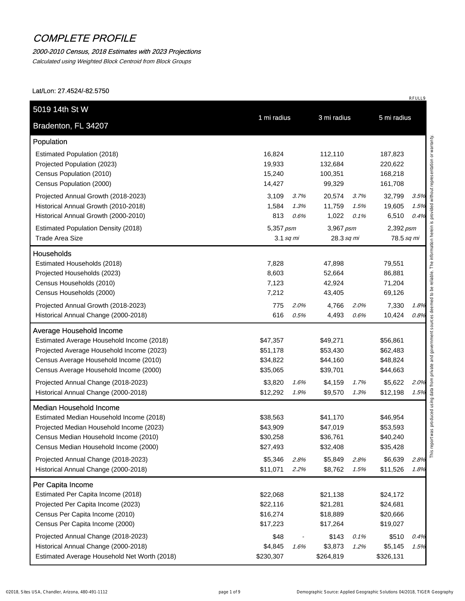#### 2000-2010 Census, 2018 Estimates with 2023 Projections

Calculated using Weighted Block Centroid from Block Groups

| Estimated Population (2018)<br>16,824<br>112,110<br>187,823<br>Projected Population (2023)<br>19,933<br>132,684<br>220,622<br>15,240<br>100,351<br>168,218<br>99,329<br>161,708<br>14,427<br>20,574<br>32,799<br>3,109<br>3.7%<br>3.7%<br>1,584<br>1.3%<br>11,759<br>1.5%<br>19,605<br>813<br>1,022<br>6,510<br>0.6%<br>0.1%<br><b>Estimated Population Density (2018)</b><br>5,357 psm<br>3,967 psm<br>2,392 psm<br>28.3 sq mi<br>78.5 sq mi<br>$3.1$ sq mi<br>7,828<br>47,898<br>79,551<br>8,603<br>52,664<br>86,881<br>7,123<br>42,924<br>71,204<br>7,212<br>43,405<br>69,126<br>775<br>2.0%<br>4,766<br>2.0%<br>7,330<br>616<br>10,424<br>0.5%<br>4,493<br>0.6%<br>\$47,357<br>\$49,271<br>\$56,861<br>\$51,178<br>\$53,430<br>\$62,483<br>\$34,822<br>\$44,160<br>\$48,824<br>\$39,701<br>\$35,065<br>\$44,663<br>\$3,820<br>\$4,159<br>\$5,622<br>1.7%<br>1.6%<br>\$12,292<br>\$9,570<br>1.9%<br>1.3%<br>\$12,198<br>\$38,563<br>\$41,170<br>\$46,954<br>\$43,909<br>\$47,019<br>\$53,593<br>\$30,258<br>\$36,761<br>\$40,240<br>\$27,493<br>\$32,408<br>\$35,428<br>\$6,639<br>\$5,346<br>\$5,849<br>2.8%<br>2.8%<br>\$11,071<br>2.2%<br>\$8,762<br>1.5%<br>\$11,526<br>\$22,068<br>\$21,138<br>\$24,172<br>\$22,116<br>\$21,281<br>\$24,681<br>\$16,274<br>\$18,889<br>\$20,666<br>\$17,223<br>\$17,264<br>\$19,027<br>\$48<br>\$143<br>\$510<br>0.1%<br>\$3,873<br>\$5,145<br>\$4,845<br>1.2%<br>1.6% | Bradenton, FL 34207                          | 1 mi radius | 3 mi radius | 5 mi radius |      |
|----------------------------------------------------------------------------------------------------------------------------------------------------------------------------------------------------------------------------------------------------------------------------------------------------------------------------------------------------------------------------------------------------------------------------------------------------------------------------------------------------------------------------------------------------------------------------------------------------------------------------------------------------------------------------------------------------------------------------------------------------------------------------------------------------------------------------------------------------------------------------------------------------------------------------------------------------------------------------------------------------------------------------------------------------------------------------------------------------------------------------------------------------------------------------------------------------------------------------------------------------------------------------------------------------------------------------------------------------------------------------------------------------------------|----------------------------------------------|-------------|-------------|-------------|------|
|                                                                                                                                                                                                                                                                                                                                                                                                                                                                                                                                                                                                                                                                                                                                                                                                                                                                                                                                                                                                                                                                                                                                                                                                                                                                                                                                                                                                                | Population                                   |             |             |             |      |
|                                                                                                                                                                                                                                                                                                                                                                                                                                                                                                                                                                                                                                                                                                                                                                                                                                                                                                                                                                                                                                                                                                                                                                                                                                                                                                                                                                                                                |                                              |             |             |             |      |
|                                                                                                                                                                                                                                                                                                                                                                                                                                                                                                                                                                                                                                                                                                                                                                                                                                                                                                                                                                                                                                                                                                                                                                                                                                                                                                                                                                                                                |                                              |             |             |             |      |
|                                                                                                                                                                                                                                                                                                                                                                                                                                                                                                                                                                                                                                                                                                                                                                                                                                                                                                                                                                                                                                                                                                                                                                                                                                                                                                                                                                                                                | Census Population (2010)                     |             |             |             |      |
|                                                                                                                                                                                                                                                                                                                                                                                                                                                                                                                                                                                                                                                                                                                                                                                                                                                                                                                                                                                                                                                                                                                                                                                                                                                                                                                                                                                                                | Census Population (2000)                     |             |             |             |      |
|                                                                                                                                                                                                                                                                                                                                                                                                                                                                                                                                                                                                                                                                                                                                                                                                                                                                                                                                                                                                                                                                                                                                                                                                                                                                                                                                                                                                                | Projected Annual Growth (2018-2023)          |             |             |             | 3.5% |
|                                                                                                                                                                                                                                                                                                                                                                                                                                                                                                                                                                                                                                                                                                                                                                                                                                                                                                                                                                                                                                                                                                                                                                                                                                                                                                                                                                                                                | Historical Annual Growth (2010-2018)         |             |             |             | 1.5% |
|                                                                                                                                                                                                                                                                                                                                                                                                                                                                                                                                                                                                                                                                                                                                                                                                                                                                                                                                                                                                                                                                                                                                                                                                                                                                                                                                                                                                                | Historical Annual Growth (2000-2010)         |             |             |             | 0.4% |
|                                                                                                                                                                                                                                                                                                                                                                                                                                                                                                                                                                                                                                                                                                                                                                                                                                                                                                                                                                                                                                                                                                                                                                                                                                                                                                                                                                                                                |                                              |             |             |             |      |
|                                                                                                                                                                                                                                                                                                                                                                                                                                                                                                                                                                                                                                                                                                                                                                                                                                                                                                                                                                                                                                                                                                                                                                                                                                                                                                                                                                                                                | <b>Trade Area Size</b>                       |             |             |             |      |
|                                                                                                                                                                                                                                                                                                                                                                                                                                                                                                                                                                                                                                                                                                                                                                                                                                                                                                                                                                                                                                                                                                                                                                                                                                                                                                                                                                                                                | <b>Households</b>                            |             |             |             |      |
|                                                                                                                                                                                                                                                                                                                                                                                                                                                                                                                                                                                                                                                                                                                                                                                                                                                                                                                                                                                                                                                                                                                                                                                                                                                                                                                                                                                                                | Estimated Households (2018)                  |             |             |             |      |
|                                                                                                                                                                                                                                                                                                                                                                                                                                                                                                                                                                                                                                                                                                                                                                                                                                                                                                                                                                                                                                                                                                                                                                                                                                                                                                                                                                                                                | Projected Households (2023)                  |             |             |             |      |
|                                                                                                                                                                                                                                                                                                                                                                                                                                                                                                                                                                                                                                                                                                                                                                                                                                                                                                                                                                                                                                                                                                                                                                                                                                                                                                                                                                                                                | Census Households (2010)                     |             |             |             |      |
|                                                                                                                                                                                                                                                                                                                                                                                                                                                                                                                                                                                                                                                                                                                                                                                                                                                                                                                                                                                                                                                                                                                                                                                                                                                                                                                                                                                                                | Census Households (2000)                     |             |             |             |      |
|                                                                                                                                                                                                                                                                                                                                                                                                                                                                                                                                                                                                                                                                                                                                                                                                                                                                                                                                                                                                                                                                                                                                                                                                                                                                                                                                                                                                                | Projected Annual Growth (2018-2023)          |             |             |             | 1.8% |
|                                                                                                                                                                                                                                                                                                                                                                                                                                                                                                                                                                                                                                                                                                                                                                                                                                                                                                                                                                                                                                                                                                                                                                                                                                                                                                                                                                                                                | Historical Annual Change (2000-2018)         |             |             |             | 0.8% |
|                                                                                                                                                                                                                                                                                                                                                                                                                                                                                                                                                                                                                                                                                                                                                                                                                                                                                                                                                                                                                                                                                                                                                                                                                                                                                                                                                                                                                | <b>Average Household Income</b>              |             |             |             |      |
|                                                                                                                                                                                                                                                                                                                                                                                                                                                                                                                                                                                                                                                                                                                                                                                                                                                                                                                                                                                                                                                                                                                                                                                                                                                                                                                                                                                                                | Estimated Average Household Income (2018)    |             |             |             |      |
|                                                                                                                                                                                                                                                                                                                                                                                                                                                                                                                                                                                                                                                                                                                                                                                                                                                                                                                                                                                                                                                                                                                                                                                                                                                                                                                                                                                                                | Projected Average Household Income (2023)    |             |             |             |      |
|                                                                                                                                                                                                                                                                                                                                                                                                                                                                                                                                                                                                                                                                                                                                                                                                                                                                                                                                                                                                                                                                                                                                                                                                                                                                                                                                                                                                                | Census Average Household Income (2010)       |             |             |             |      |
|                                                                                                                                                                                                                                                                                                                                                                                                                                                                                                                                                                                                                                                                                                                                                                                                                                                                                                                                                                                                                                                                                                                                                                                                                                                                                                                                                                                                                | Census Average Household Income (2000)       |             |             |             |      |
|                                                                                                                                                                                                                                                                                                                                                                                                                                                                                                                                                                                                                                                                                                                                                                                                                                                                                                                                                                                                                                                                                                                                                                                                                                                                                                                                                                                                                | Projected Annual Change (2018-2023)          |             |             |             | 2.0% |
|                                                                                                                                                                                                                                                                                                                                                                                                                                                                                                                                                                                                                                                                                                                                                                                                                                                                                                                                                                                                                                                                                                                                                                                                                                                                                                                                                                                                                | Historical Annual Change (2000-2018)         |             |             |             | 1.5% |
|                                                                                                                                                                                                                                                                                                                                                                                                                                                                                                                                                                                                                                                                                                                                                                                                                                                                                                                                                                                                                                                                                                                                                                                                                                                                                                                                                                                                                | <b>Median Household Income</b>               |             |             |             |      |
|                                                                                                                                                                                                                                                                                                                                                                                                                                                                                                                                                                                                                                                                                                                                                                                                                                                                                                                                                                                                                                                                                                                                                                                                                                                                                                                                                                                                                | Estimated Median Household Income (2018)     |             |             |             |      |
|                                                                                                                                                                                                                                                                                                                                                                                                                                                                                                                                                                                                                                                                                                                                                                                                                                                                                                                                                                                                                                                                                                                                                                                                                                                                                                                                                                                                                | Projected Median Household Income (2023)     |             |             |             |      |
|                                                                                                                                                                                                                                                                                                                                                                                                                                                                                                                                                                                                                                                                                                                                                                                                                                                                                                                                                                                                                                                                                                                                                                                                                                                                                                                                                                                                                | Census Median Household Income (2010)        |             |             |             |      |
|                                                                                                                                                                                                                                                                                                                                                                                                                                                                                                                                                                                                                                                                                                                                                                                                                                                                                                                                                                                                                                                                                                                                                                                                                                                                                                                                                                                                                | Census Median Household Income (2000)        |             |             |             |      |
|                                                                                                                                                                                                                                                                                                                                                                                                                                                                                                                                                                                                                                                                                                                                                                                                                                                                                                                                                                                                                                                                                                                                                                                                                                                                                                                                                                                                                | Projected Annual Change (2018-2023)          |             |             |             | 2.8% |
|                                                                                                                                                                                                                                                                                                                                                                                                                                                                                                                                                                                                                                                                                                                                                                                                                                                                                                                                                                                                                                                                                                                                                                                                                                                                                                                                                                                                                | Historical Annual Change (2000-2018)         |             |             |             | 1.8% |
|                                                                                                                                                                                                                                                                                                                                                                                                                                                                                                                                                                                                                                                                                                                                                                                                                                                                                                                                                                                                                                                                                                                                                                                                                                                                                                                                                                                                                | Per Capita Income                            |             |             |             |      |
|                                                                                                                                                                                                                                                                                                                                                                                                                                                                                                                                                                                                                                                                                                                                                                                                                                                                                                                                                                                                                                                                                                                                                                                                                                                                                                                                                                                                                | Estimated Per Capita Income (2018)           |             |             |             |      |
|                                                                                                                                                                                                                                                                                                                                                                                                                                                                                                                                                                                                                                                                                                                                                                                                                                                                                                                                                                                                                                                                                                                                                                                                                                                                                                                                                                                                                | Projected Per Capita Income (2023)           |             |             |             |      |
|                                                                                                                                                                                                                                                                                                                                                                                                                                                                                                                                                                                                                                                                                                                                                                                                                                                                                                                                                                                                                                                                                                                                                                                                                                                                                                                                                                                                                | Census Per Capita Income (2010)              |             |             |             |      |
|                                                                                                                                                                                                                                                                                                                                                                                                                                                                                                                                                                                                                                                                                                                                                                                                                                                                                                                                                                                                                                                                                                                                                                                                                                                                                                                                                                                                                | Census Per Capita Income (2000)              |             |             |             |      |
|                                                                                                                                                                                                                                                                                                                                                                                                                                                                                                                                                                                                                                                                                                                                                                                                                                                                                                                                                                                                                                                                                                                                                                                                                                                                                                                                                                                                                | Projected Annual Change (2018-2023)          |             |             |             | 0.4% |
|                                                                                                                                                                                                                                                                                                                                                                                                                                                                                                                                                                                                                                                                                                                                                                                                                                                                                                                                                                                                                                                                                                                                                                                                                                                                                                                                                                                                                | Historical Annual Change (2000-2018)         |             |             |             | 1.5% |
| \$264,819<br>\$230,307<br>\$326,131                                                                                                                                                                                                                                                                                                                                                                                                                                                                                                                                                                                                                                                                                                                                                                                                                                                                                                                                                                                                                                                                                                                                                                                                                                                                                                                                                                            | Estimated Average Household Net Worth (2018) |             |             |             |      |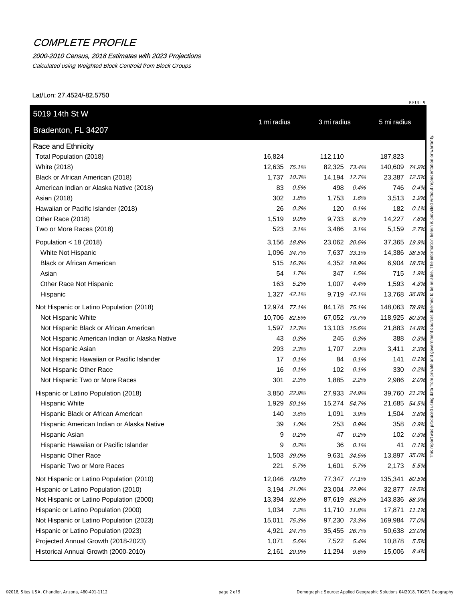## 2000-2010 Census, 2018 Estimates with 2023 Projections

Calculated using Weighted Block Centroid from Block Groups

| Bradenton, FL 34207                           | 1 mi radius  |             | 3 mi radius  |             | 5 mi radius   |          |
|-----------------------------------------------|--------------|-------------|--------------|-------------|---------------|----------|
| <b>Race and Ethnicity</b>                     |              |             |              |             |               |          |
| Total Population (2018)                       | 16,824       |             | 112,110      |             | 187,823       |          |
| White (2018)                                  | 12,635 75.1% |             | 82,325 73.4% |             | 140,609 74.9% |          |
| Black or African American (2018)              | 1,737        | 10.3%       | 14,194 12.7% |             | 23,387 12.5%  |          |
| American Indian or Alaska Native (2018)       | 83           | 0.5%        | 498          | 0.4%        | 746           | 0.4%     |
| Asian (2018)                                  | 302          | 1.8%        | 1,753        | 1.6%        | 3,513         | 1.9%     |
| Hawaiian or Pacific Islander (2018)           | 26           | 0.2%        | 120          | 0.1%        | 182           | 0.1%     |
| Other Race (2018)                             | 1,519        | 9.0%        | 9,733        | 8.7%        | 14,227        | 7.6%     |
| Two or More Races (2018)                      | 523          | 3.1%        | 3,486        | 3.1%        | 5,159         | 2.7%     |
| Population < $18(2018)$                       | 3,156        | 18.8%       | 23,062 20.6% |             | 37,365 19.9%  |          |
| White Not Hispanic                            |              | 1,096 34.7% |              | 7,637 33.1% | 14,386 38.5%  |          |
| <b>Black or African American</b>              | 515          | 16.3%       |              | 4,352 18.9% | 6,904 18.5%   |          |
| Asian                                         | 54           | 1.7%        | 347          | 1.5%        | 715           | 1.9%     |
| Other Race Not Hispanic                       | 163          | 5.2%        | 1,007        | 4.4%        | 1,593         | 4.3%     |
| Hispanic                                      |              | 1,327 42.1% | 9,719        | 42.1%       | 13,768 36.8%  |          |
| Not Hispanic or Latino Population (2018)      | 12,974 77.1% |             | 84,178 75.1% |             | 148,063 78.8% |          |
| Not Hispanic White                            | 10,706 82.5% |             | 67,052 79.7% |             | 118,925 80.3% |          |
| Not Hispanic Black or African American        |              | 1,597 12.3% | 13,103 15.6% |             | 21,883 14.8%  |          |
| Not Hispanic American Indian or Alaska Native | 43           | 0.3%        | 245          | 0.3%        | 388           | 0.3%     |
| Not Hispanic Asian                            | 293          | 2.3%        | 1,707        | 2.0%        | 3,411         | 2.3%     |
| Not Hispanic Hawaiian or Pacific Islander     | 17           | 0.1%        | 84           | 0.1%        | 141           | 0.1%     |
| Not Hispanic Other Race                       | 16           | 0.1%        | 102          | 0.1%        | 330           | 0.2%     |
| Not Hispanic Two or More Races                | 301          | 2.3%        | 1,885        | 2.2%        | 2,986         | 2.0%     |
| Hispanic or Latino Population (2018)          |              | 3,850 22.9% | 27,933 24.9% |             | 39,760 21.2%  |          |
| <b>Hispanic White</b>                         |              | 1,929 50.1% | 15,274 54.7% |             | 21,685 54.5%  |          |
| Hispanic Black or African American            | 140          | 3.6%        | 1,091        | 3.9%        | 1,504         | 3.8%     |
| Hispanic American Indian or Alaska Native     | 39           | 1.0%        | 253          | 0.9%        | 358           | 0.9%     |
| Hispanic Asian                                | 9            | 0.2%        | 47           | 0.2%        | 102           | 0.3%     |
| Hispanic Hawaiian or Pacific Islander         | 9            | 0.2%        | 36           | 0.1%        | 41            | 0.1%     |
| <b>Hispanic Other Race</b>                    | 1,503        | 39.0%       | 9,631        | 34.5%       | 13,897        | $35.0\%$ |
| Hispanic Two or More Races                    | 221          | 5.7%        | 1,601        | 5.7%        | 2,173         | 5.5%     |
| Not Hispanic or Latino Population (2010)      | 12,046 79.0% |             | 77,347 77.1% |             | 135,341 80.5% |          |
| Hispanic or Latino Population (2010)          |              | 3,194 21.0% | 23,004 22.9% |             | 32,877 19.5%  |          |
| Not Hispanic or Latino Population (2000)      | 13,394 92.8% |             | 87,619 88.2% |             | 143,836 88.9% |          |
| Hispanic or Latino Population (2000)          | 1,034        | 7.2%        | 11,710 11.8% |             | 17,871 11.1%  |          |
| Not Hispanic or Latino Population (2023)      | 15.011 75.3% |             | 97,230 73.3% |             | 169,984 77.0% |          |
| Hispanic or Latino Population (2023)          |              | 4,921 24.7% | 35,455 26.7% |             | 50,638 23.0%  |          |
| Projected Annual Growth (2018-2023)           | 1,071        | 5.6%        | 7,522        | 5.4%        | 10,878        | 5.5%     |
| Historical Annual Growth (2000-2010)          |              | 2,161 20.9% | 11,294       | 9.6%        | 15,006        | 8.4%     |
|                                               |              |             |              |             |               |          |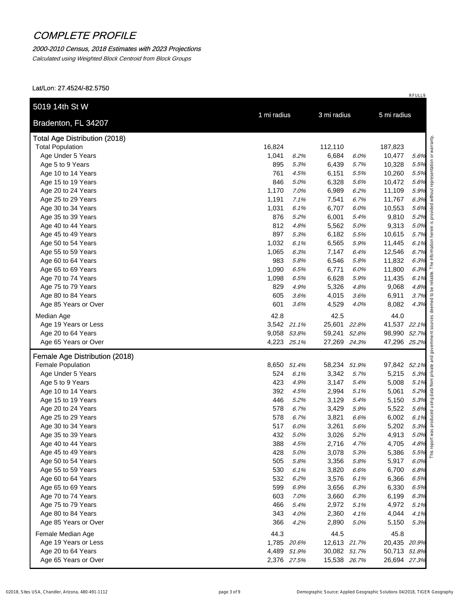### 2000-2010 Census, 2018 Estimates with 2023 Projections

Calculated using Weighted Block Centroid from Block Groups

| Bradenton, FL 34207                        | 1 mi radius |              | 3 mi radius    |              | 5 mi radius    |                                      |
|--------------------------------------------|-------------|--------------|----------------|--------------|----------------|--------------------------------------|
| <b>Total Age Distribution (2018)</b>       |             |              |                |              |                |                                      |
| <b>Total Population</b>                    | 16,824      |              | 112,110        |              | 187,823        |                                      |
| Age Under 5 Years                          | 1,041       | 6.2%         | 6,684          | 6.0%         | 10,477         | 5.6%                                 |
| Age 5 to 9 Years                           | 895         | 5.3%         | 6,439          | 5.7%         | 10,328         | 5.5%                                 |
| Age 10 to 14 Years                         | 761         | 4.5%         | 6,151          | 5.5%         | 10,260         | 5.5%                                 |
| Age 15 to 19 Years                         | 846         | 5.0%         | 6,328          | 5.6%         | 10,472         | 5.6%                                 |
| Age 20 to 24 Years                         | 1,170       | 7.0%         | 6,989          | 6.2%         | 11,109         | 5.9%                                 |
| Age 25 to 29 Years                         | 1,191       | 7.1%         | 7,541          | 6.7%         | 11,767         | 6.3%                                 |
| Age 30 to 34 Years                         | 1,031       | 6.1%         | 6,707          | 6.0%         | 10,553         | 5.6%                                 |
| Age 35 to 39 Years                         | 876         | 5.2%         | 6,001          | 5.4%         | 9,810          | 5.2%                                 |
| Age 40 to 44 Years                         | 812         | 4.8%         | 5,562          | 5.0%         | 9,313          | 5.0%                                 |
| Age 45 to 49 Years                         | 897         | 5.3%         | 6,182          | 5.5%         | 10,615         | 5.7%                                 |
| Age 50 to 54 Years                         | 1,032       | 6.1%         | 6,565          | 5.9%         | 11,445         | 6.1%                                 |
| Age 55 to 59 Years                         | 1,065       | 6.3%         | 7,147          | 6.4%         | 12,546         | 6.7%                                 |
| Age 60 to 64 Years                         | 983         | 5.8%         | 6,546          | 5.8%         | 11,832         | 6.3%                                 |
| Age 65 to 69 Years                         | 1,090       | 6.5%         | 6,771          | 6.0%         | 11,800         | 6.3%                                 |
| Age 70 to 74 Years                         | 1,098       | 6.5%         | 6,628          | 5.9%         | 11,435         | 6.1%                                 |
| Age 75 to 79 Years                         | 829         | 4.9%         | 5,326          | 4.8%         | 9,068          | 4.8%                                 |
| Age 80 to 84 Years                         | 605         | 3.6%         | 4,015          | 3.6%         | 6,911          | 3.7%                                 |
| Age 85 Years or Over                       | 601         | 3.6%         | 4,529          | 4.0%         | 8,082          | 4.3%                                 |
| Median Age                                 | 42.8        |              | 42.5           |              | 44.0           |                                      |
| Age 19 Years or Less                       |             | 3,542 21.1%  | 25,601 22.8%   |              | 41,537 22.1%   |                                      |
| Age 20 to 64 Years                         |             | 9,058 53.8%  | 59,241 52.8%   |              | 98,990 52.7%   |                                      |
| Age 65 Years or Over                       |             | 4,223 25.1%  | 27,269 24.3%   |              | 47,296 25.2%   |                                      |
| Female Age Distribution (2018)             |             |              |                |              |                |                                      |
| Female Population                          |             | 8,650 51.4%  | 58,234 51.9%   |              | 97,842 52.1%   |                                      |
| Age Under 5 Years                          | 524         | 6.1%         | 3,342          | 5.7%         | 5,215          | 5.3%                                 |
| Age 5 to 9 Years                           | 423         | 4.9%         | 3,147          | 5.4%         | 5,008          | 5.1%                                 |
| Age 10 to 14 Years                         | 392         | 4.5%         | 2,994          | 5.1%         | 5,061          | 5.2%<br>5.3%<br>5.6%<br>5.6%<br>6.1% |
| Age 15 to 19 Years                         | 446         | 5.2%         | 3,129          | 5.4%         | 5,150          |                                      |
| Age 20 to 24 Years                         | 578         | 6.7%         | 3,429          | 5.9%         | 5,522          |                                      |
| Age 25 to 29 Years                         | 578         | 6.7%         | 3,821          | 6.6%         | 6,002          |                                      |
| Age 30 to 34 Years                         | 517         | 6.0%         | 3,261          | 5.6%         | 5,202          | 5.3%                                 |
| Age 35 to 39 Years                         | 432         | 5.0%         | 3,026          | 5.2%         | 4,913          | 5.0%                                 |
| Age 40 to 44 Years                         | 388         | 4.5%         | 2,716          | 4.7%         | 4,705          | 4.8%                                 |
| Age 45 to 49 Years                         | 428<br>505  | 5.0%         | 3,078          | 5.3%         | 5,386          | 5.5%<br>6.0%                         |
| Age 50 to 54 Years                         |             | 5.8%         | 3,356          | 5.8%         | 5,917          |                                      |
| Age 55 to 59 Years<br>Age 60 to 64 Years   | 530<br>532  | 6.1%<br>6.2% | 3,820<br>3,576 | 6.6%<br>6.1% | 6,700<br>6,366 | 6.8%<br>6.5%                         |
| Age 65 to 69 Years                         | 599         | 6.9%         | 3,656          | 6.3%         | 6,330          | 6.5%                                 |
| Age 70 to 74 Years                         | 603         |              |                |              |                |                                      |
| Age 75 to 79 Years                         | 466         | 7.0%<br>5.4% | 3,660<br>2,972 | 6.3%<br>5.1% | 6,199<br>4,972 | 6.3%<br>5.1%                         |
| Age 80 to 84 Years                         | 343         | 4.0%         | 2,360          | 4.1%         | 4,044          | 4.1%                                 |
| Age 85 Years or Over                       | 366         | 4.2%         | 2,890          | 5.0%         | 5,150          | 5.3%                                 |
|                                            |             |              |                |              |                |                                      |
| Female Median Age                          | 44.3        |              | 44.5           |              | 45.8           |                                      |
| Age 19 Years or Less                       |             | 1,785 20.6%  | 12,613 21.7%   |              | 20,435 20.9%   |                                      |
| Age 20 to 64 Years<br>Age 65 Years or Over |             | 4,489 51.9%  | 30,082 51.7%   |              | 50,713 51.8%   |                                      |
|                                            |             | 2,376 27.5%  | 15,538 26.7%   |              | 26,694 27.3%   |                                      |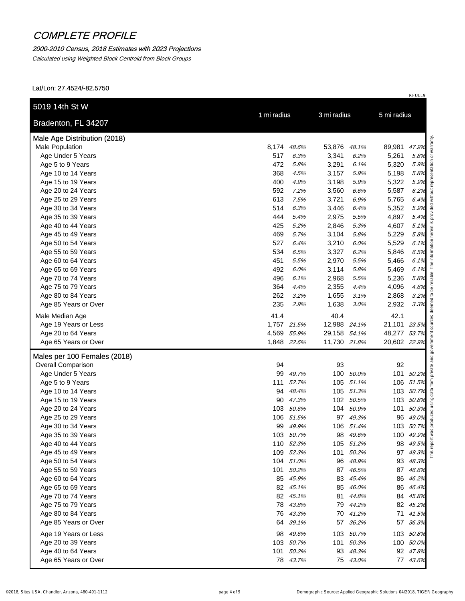### 2000-2010 Census, 2018 Estimates with 2023 Projections

Calculated using Weighted Block Centroid from Block Groups

| Bradenton, FL 34207                                | 1 mi radius |             | 3 mi radius  |           | 5 mi radius  |                                                                   |
|----------------------------------------------------|-------------|-------------|--------------|-----------|--------------|-------------------------------------------------------------------|
| Male Age Distribution (2018)                       |             |             |              |           |              |                                                                   |
| Male Population                                    | 8,174       | 48.6%       | 53,876       | 48.1%     | 89,981       | 47.9%                                                             |
| Age Under 5 Years                                  | 517         | 6.3%        | 3,341        | 6.2%      | 5,261        | 5.8%                                                              |
| Age 5 to 9 Years                                   | 472         | 5.8%        | 3,291        | 6.1%      | 5,320        | 5.9%                                                              |
| Age 10 to 14 Years                                 | 368         | 4.5%        | 3,157        | 5.9%      | 5,198        | 5.8%                                                              |
| Age 15 to 19 Years                                 | 400         | 4.9%        | 3,198        | 5.9%      | 5,322        | 5.9%                                                              |
| Age 20 to 24 Years                                 | 592         | 7.2%        | 3,560        | 6.6%      | 5,587        | 6.2%                                                              |
| Age 25 to 29 Years                                 | 613         | 7.5%        | 3,721        | 6.9%      | 5,765        | 6.4%                                                              |
| Age 30 to 34 Years                                 | 514         | 6.3%        | 3,446        | 6.4%      | 5,352        | 5.9%                                                              |
| Age 35 to 39 Years                                 | 444         | 5.4%        | 2,975        | 5.5%      | 4,897        | 5.4%                                                              |
| Age 40 to 44 Years                                 | 425         | 5.2%        | 2,846        | 5.3%      | 4,607        | 5.1%                                                              |
| Age 45 to 49 Years                                 | 469         | 5.7%        | 3,104        | 5.8%      | 5,229        | 5.8%                                                              |
| Age 50 to 54 Years                                 | 527         | 6.4%        | 3,210        | 6.0%      | 5,529        | 6.1%                                                              |
| Age 55 to 59 Years                                 | 534         | 6.5%        | 3,327        | 6.2%      | 5,846        | 6.5%                                                              |
| Age 60 to 64 Years                                 | 451         | 5.5%        | 2,970        | 5.5%      | 5,466        | 6.1%                                                              |
| Age 65 to 69 Years                                 | 492         | 6.0%        | 3,114        | 5.8%      | 5,469        | 6.1%                                                              |
| Age 70 to 74 Years                                 | 496         | 6.1%        | 2,968        | 5.5%      | 5,236        | 5.8%                                                              |
| Age 75 to 79 Years                                 | 364         | 4.4%        | 2,355        | 4.4%      | 4,096        | 4.6%                                                              |
| Age 80 to 84 Years                                 | 262         | 3.2%        | 1,655        | 3.1%      | 2,868        | 3.2%                                                              |
| Age 85 Years or Over                               | 235         | 2.9%        | 1,638        | 3.0%      | 2,932        | 3.3%                                                              |
| Male Median Age                                    | 41.4        |             | 40.4         |           | 42.1         |                                                                   |
| Age 19 Years or Less                               |             | 1,757 21.5% | 12,988 24.1% |           | 21,101 23.5% |                                                                   |
| Age 20 to 64 Years                                 |             | 4,569 55.9% | 29,158 54.1% |           | 48,277 53.7% |                                                                   |
| Age 65 Years or Over                               |             | 1,848 22.6% | 11,730 21.8% |           | 20,602 22.9% |                                                                   |
| Males per 100 Females (2018)<br>Overall Comparison | 94          |             | 93           |           | 92           |                                                                   |
| Age Under 5 Years                                  | 99          | 49.7%       |              | 100 50.0% |              | 101 50.2%                                                         |
| Age 5 to 9 Years                                   | 111         | 52.7%       | 105          | 51.1%     |              | 106 51.5%                                                         |
| Age 10 to 14 Years                                 | 94          | 48.4%       |              | 105 51.3% |              | 103 50.7%                                                         |
| Age 15 to 19 Years                                 | 90          | 47.3%       |              | 102 50.5% |              | 103 50.8%<br>$50.8\%$<br>$50.3\%$<br>$49.0\%$<br>$\frac{100}{50}$ |
| Age 20 to 24 Years                                 | 103         | 50.6%       | 104          | 50.9%     | 101          |                                                                   |
| Age 25 to 29 Years                                 |             | 106 51.5%   |              | 97 49.3%  | 96           |                                                                   |
| Age 30 to 34 Years                                 |             | 99 49.9%    |              | 106 51.4% |              | 103 50.7%                                                         |
| Age 35 to 39 Years                                 |             | 103 50.7%   | 98           | 49.6%     |              | 100 49.9%                                                         |
| Age 40 to 44 Years                                 |             | 110 52.3%   |              | 105 51.2% | 98           | 49.5%                                                             |
| Age 45 to 49 Years                                 |             | 109 52.3%   | 101          | 50.2%     | 97           | 49.3%                                                             |
| Age 50 to 54 Years                                 |             | 104 51.0%   | 96           | 48.9%     | 93           | 48.3%                                                             |
| Age 55 to 59 Years                                 |             | 101 50.2%   | 87           | 46.5%     |              | 87 46.6%                                                          |
| Age 60 to 64 Years                                 |             | 85 45.9%    | 83           | 45.4%     |              | 86 46.2%                                                          |
| Age 65 to 69 Years                                 |             | 82 45.1%    | 85           | 46.0%     |              | 86 46.4%                                                          |
| Age 70 to 74 Years                                 |             | 82 45.1%    | 81           | 44.8%     |              | 84 45.8%                                                          |
| Age 75 to 79 Years                                 |             | 78 43.8%    |              | 79 44.2%  |              | 82 45.2%                                                          |
| Age 80 to 84 Years                                 | 76          | 43.3%       |              | 70 41.2%  |              | 71 41.5%                                                          |
| Age 85 Years or Over                               | 64          | 39.1%       | 57           | 36.2%     | 57           | 36.3%                                                             |
| Age 19 Years or Less                               | 98          | 49.6%       |              | 103 50.7% |              | 103 50.8%                                                         |
| Age 20 to 39 Years                                 |             | 103 50.7%   | 101          | 50.3%     |              | 100 50.0%                                                         |
| Age 40 to 64 Years                                 |             | 101 50.2%   |              | 93 48.3%  |              | 92 47.8%                                                          |
|                                                    |             | 78 43.7%    |              | 75 43.0%  |              | 77 43.6%                                                          |
| Age 65 Years or Over                               |             |             |              |           |              |                                                                   |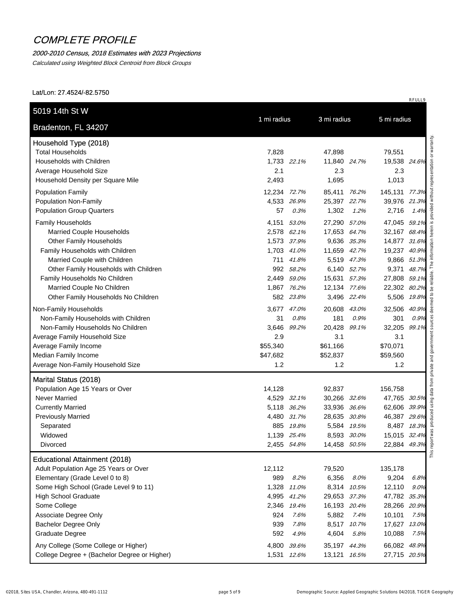#### 2000-2010 Census, 2018 Estimates with 2023 Projections

Calculated using Weighted Block Centroid from Block Groups

| Bradenton, FL 34207                                  | 1 mi radius                |                       |                             |                              |       |
|------------------------------------------------------|----------------------------|-----------------------|-----------------------------|------------------------------|-------|
| Household Type (2018)                                |                            |                       |                             |                              |       |
| <b>Total Households</b>                              | 7,828                      | 47,898                |                             | 79,551                       |       |
| Households with Children                             | 1,733 22.1%                |                       | 11,840 24.7%                | 19,538 24.6%                 |       |
| Average Household Size                               | 2.1                        |                       | 2.3                         | 2.3                          |       |
| Household Density per Square Mile                    | 2,493                      | 1,695                 |                             | 1,013                        |       |
| <b>Population Family</b>                             | 12,234 72.7%               |                       | 85,411 76.2%                | 145,131 77.3%                |       |
| <b>Population Non-Family</b>                         | 4,533 26.9%                |                       | 25,397 22.7%                | 39,976 21.3%                 |       |
| <b>Population Group Quarters</b>                     | 57                         | 1,302<br>0.3%         | 1.2%                        | 2,716                        | 1.4%  |
| <b>Family Households</b>                             | 4,151                      | 53.0%                 | 27,290 57.0%                | 47,045 59.1%                 |       |
| <b>Married Couple Households</b>                     | 2,578 62.1%                |                       | 17,653 64.7%                | 32,167 68.4%                 |       |
| <b>Other Family Households</b>                       | 1,573 37.9%                |                       | 9,636 35.3%                 | 14,877 31.6%                 |       |
| Family Households with Children                      | 1,703 41.0%                |                       | 11,659 42.7%                | 19,237 40.9%                 |       |
| Married Couple with Children                         | 711 41.8%                  |                       | 5,519 47.3%                 | 9,866 51.3%                  |       |
| Other Family Households with Children                | 992 58.2%                  |                       | 6,140 52.7%                 | 9,371 48.7%                  |       |
| Family Households No Children                        | 2,449 59.0%                |                       | 15,631 57.3%                | 27,808 59.1%                 |       |
| Married Couple No Children                           | 1,867 76.2%                |                       | 12,134 77.6%                | 22,302 80.2%                 |       |
| Other Family Households No Children                  | 582 23.8%                  |                       | 3,496 22.4%                 | 5,506 19.8%                  |       |
| Non-Family Households                                | 3,677 47.0%                |                       | 20,608 43.0%                | 32,506 40.9%                 |       |
| Non-Family Households with Children                  | 31                         | 0.8%<br>181           | 0.9%                        | 301                          | 0.9%  |
| Non-Family Households No Children                    | 3,646                      | 20,428<br>99.2%       | 99.1%                       | 32,205                       | 99.1% |
| Average Family Household Size                        | 2.9                        |                       | 3.1                         | 3.1                          |       |
| Average Family Income                                | \$55,340                   | \$61,166              |                             | \$70,071                     |       |
| Median Family Income                                 | \$47,682                   | \$52,837              |                             | \$59,560                     |       |
| Average Non-Family Household Size                    | 1.2                        |                       | 1.2                         | 1.2                          |       |
| Marital Status (2018)                                |                            |                       |                             |                              |       |
| Population Age 15 Years or Over                      | 14,128                     | 92,837                |                             | 156,758                      |       |
| <b>Never Married</b>                                 | 4,529 32.1%                |                       | 30,266 32.6%                | 47,765 30.5%                 |       |
| <b>Currently Married</b>                             | 5,118 36.2%                |                       | 33,936 36.6%                | 62,606 39.9%                 |       |
| <b>Previously Married</b>                            | 4,480 31.7%                |                       | 28,635 30.8%                | 46,387 29.6%                 |       |
| Separated                                            | 885 19.8%                  |                       | 5,584 19.5%                 | 8,487 18.3%                  |       |
| Widowed<br>Divorced                                  | 1,139 25.4%<br>2,455 54.8% |                       | 8,593 30.0%<br>14,458 50.5% | 15,015 32.4%<br>22,884 49.3% |       |
|                                                      |                            |                       |                             |                              |       |
| <b>Educational Attainment (2018)</b>                 |                            |                       |                             |                              |       |
| Adult Population Age 25 Years or Over                | 12,112                     | 79,520                |                             | 135,178                      |       |
| Elementary (Grade Level 0 to 8)                      | 989                        | 6,356<br>8.2%         | 8.0%                        | 9,204                        | 6.8%  |
| Some High School (Grade Level 9 to 11)               | 1,328 11.0%                |                       | 8,314 10.5%                 | 12,110                       | 9.0%  |
| <b>High School Graduate</b>                          | 4,995 41.2%                |                       | 29,653 37.3%                | 47,782 35.3%                 |       |
| Some College                                         | 2,346 19.4%                |                       | 16,193 20.4%                | 28,266 20.9%                 |       |
| Associate Degree Only<br><b>Bachelor Degree Only</b> | 924<br>939                 | 7.6%<br>5,882<br>7.8% | 7.4%<br>8,517 10.7%         | 10,101<br>17,627 13.0%       | 7.5%  |
| <b>Graduate Degree</b>                               | 592                        | 4,604<br>4.9%         | 5.8%                        | 10,088                       | 7.5%  |
|                                                      |                            |                       |                             |                              |       |
| Any College (Some College or Higher)                 | 4,800                      | 39.6%                 | 35,197 44.3%                | 66,082 48.9%                 |       |
| College Degree + (Bachelor Degree or Higher)         | 1,531 12.6%                |                       | 13,121 16.5%                | 27,715 20.5%                 |       |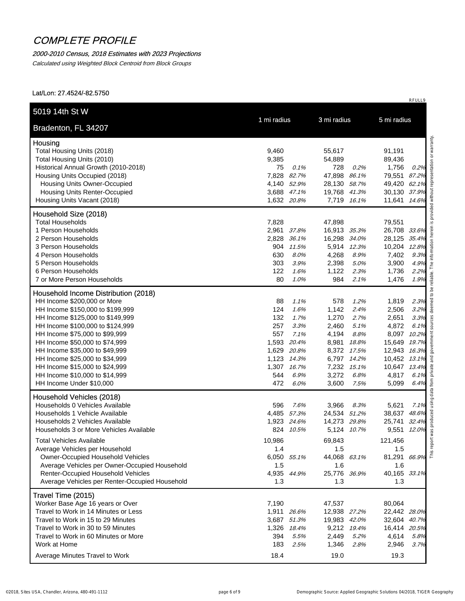### 2000-2010 Census, 2018 Estimates with 2023 Projections

Calculated using Weighted Block Centroid from Block Groups

Lat/Lon: 27.4524/-82.5750

| Bradenton, FL 34207                                        |                            |                |              |                |              |
|------------------------------------------------------------|----------------------------|----------------|--------------|----------------|--------------|
| Housing                                                    |                            |                |              |                |              |
| Total Housing Units (2018)                                 | 9,460                      | 55,617         |              | 91,191         |              |
| Total Housing Units (2010)                                 | 9,385                      | 54,889         |              | 89,436         |              |
| Historical Annual Growth (2010-2018)                       | 75<br>0.1%                 | 728            | 0.2%         | 1,756          | 0.2%         |
| Housing Units Occupied (2018)                              | 7,828 82.7%                | 47,898         | 86.1%        | 79,551 87.2%   |              |
| Housing Units Owner-Occupied                               | 4,140 52.9%                | 28,130 58.7%   |              | 49,420 62.1%   |              |
| <b>Housing Units Renter-Occupied</b>                       | 3,688 47.1%                | 19,768 41.3%   |              | 30,130 37.9%   |              |
| Housing Units Vacant (2018)                                | 1,632 20.8%                | 7,719 16.1%    |              | 11,641 14.6%   |              |
| Household Size (2018)                                      |                            |                |              |                |              |
| <b>Total Households</b>                                    | 7,828                      | 47,898         |              | 79,551         |              |
| 1 Person Households                                        | 2,961 37.8%                | 16,913 35.3%   |              | 26,708 33.6%   |              |
| 2 Person Households                                        | 2,828 36.1%                | 16,298 34.0%   |              | 28,125 35.4%   |              |
| 3 Person Households                                        | 904 11.5%                  | 5,914 12.3%    |              | 10,204 12.8%   |              |
| 4 Person Households                                        | 630<br>8.0%                | 4,268          | 8.9%         | 7,402          | 9.3%         |
| 5 Person Households                                        | 303<br>3.9%                | 2,398          | 5.0%         | 3,900          | 4.9%         |
| 6 Person Households                                        | 122<br>1.6%                | 1,122          | 2.3%         | 1,736          | 2.2%         |
| 7 or More Person Households                                | 80<br>1.0%                 | 984            | 2.1%         | 1,476          | 1.9%         |
| Household Income Distribution (2018)                       |                            |                |              |                |              |
| HH Income \$200,000 or More                                | 88<br>1.1%                 | 578            | 1.2%         | 1,819          | 2.3%         |
| HH Income \$150,000 to \$199,999                           | 124<br>1.6%                | 1,142          | 2.4%         | 2,506          | 3.2%         |
| HH Income \$125,000 to \$149,999                           | 132<br>1.7%                | 1,270          | 2.7%         | 2,651          | 3.3%         |
| HH Income \$100,000 to \$124,999                           | 257<br>3.3%                | 2,460          | 5.1%         | 4,872          | 6.1%         |
| HH Income \$75,000 to \$99,999                             | 557<br>7.1%                | 4,194          | 8.8%         | 8,097 10.2%    |              |
| HH Income \$50,000 to \$74,999                             | 1,593<br>20.4%             | 8,981          | 18.8%        | 15,649 19.7%   |              |
| HH Income \$35,000 to \$49,999                             | 1,629 20.8%                | 8,372 17.5%    |              | 12,943 16.3%   |              |
| HH Income \$25,000 to \$34,999                             | 1,123 14.3%                | 6,797 14.2%    |              | 10,452 13.1%   |              |
| HH Income \$15,000 to \$24,999                             | 1,307 16.7%                | 7,232 15.1%    |              | 10,647 13.4%   |              |
| HH Income \$10,000 to \$14,999<br>HH Income Under \$10,000 | 544<br>6.9%<br>472<br>6.0% | 3,272<br>3,600 | 6.8%<br>7.5% | 4,817<br>5,099 | 6.1%<br>6.4% |
| Household Vehicles (2018)                                  |                            |                |              |                |              |
| Households 0 Vehicles Available                            | 596<br>7.6%                | 3,966          | 8.3%         | 5,621          | 7.1%         |
| Households 1 Vehicle Available                             | 4,485 57.3%                | 24,534 51.2%   |              | 38,637 48.6%   |              |
| Households 2 Vehicles Available                            | 1,923 24.6%                | 14,273 29.8%   |              | 25,741 32.4%   |              |
| Households 3 or More Vehicles Available                    | 824 10.5%                  | 5,124 10.7%    |              | 9,551 12.0%    |              |
| <b>Total Vehicles Available</b>                            | 10,986                     | 69,843         |              | 121,456        |              |
| Average Vehicles per Household                             | 1.4                        | 1.5            |              | 1.5            |              |
| <b>Owner-Occupied Household Vehicles</b>                   | 6,050 55.1%                | 44,068 63.1%   |              | 81,291 66.9%   |              |
| Average Vehicles per Owner-Occupied Household              | 1.5                        | 1.6            |              | 1.6            |              |
| Renter-Occupied Household Vehicles                         | 4,935 44.9%                | 25,776 36.9%   |              | 40,165 33.1%   |              |
| Average Vehicles per Renter-Occupied Household             | 1.3                        | 1.3            |              | 1.3            |              |
| Travel Time (2015)                                         |                            |                |              |                |              |
| Worker Base Age 16 years or Over                           | 7,190                      | 47,537         |              | 80,064         |              |
| Travel to Work in 14 Minutes or Less                       | 1,911 26.6%                | 12,938 27.2%   |              | 22,442 28.0%   |              |
| Travel to Work in 15 to 29 Minutes                         | 3,687 51.3%                | 19,983 42.0%   |              | 32,604 40.7%   |              |
| Travel to Work in 30 to 59 Minutes                         | 1,326 18.4%                | 9,212 19.4%    |              | 16,414 20.5%   |              |
| Travel to Work in 60 Minutes or More                       | 394<br>5.5%                | 2,449          | 5.2%         | 4,614          | 5.8%         |
| Work at Home                                               | 183<br>2.5%                | 1,346          | 2.8%         | 2,946          | 3.7%         |
| Average Minutes Travel to Work                             | 18.4                       | 19.0           |              | 19.3           |              |

RFULL9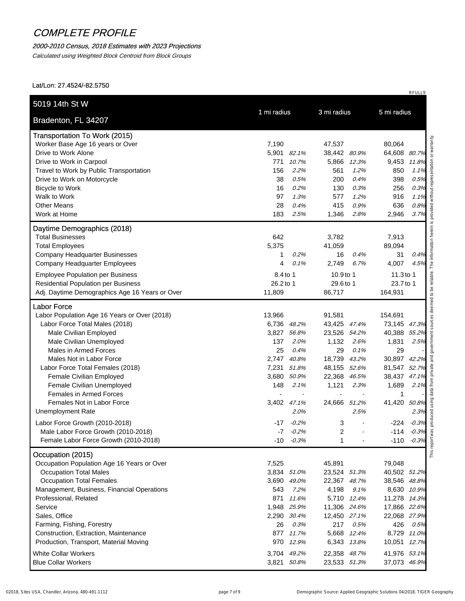## 2000-2010 Census, 2018 Estimates with 2023 Projections

Calculated using Weighted Block Centroid from Block Groups

| Bradenton, FL 34207                                          | 1 mi radius                | 3 mi radius                  | 5 mi radius                  |
|--------------------------------------------------------------|----------------------------|------------------------------|------------------------------|
| <b>Transportation To Work (2015)</b>                         |                            |                              |                              |
| Worker Base Age 16 years or Over                             | 7,190                      | 47,537                       | 80,064                       |
| Drive to Work Alone                                          | 5,901<br>82.1%             | 38,442<br>80.9%              | 64,608 80.7%                 |
| Drive to Work in Carpool                                     | 771<br>10.7%               | 5,866<br>12.3%               | 9,453<br>11.8%               |
| Travel to Work by Public Transportation                      | 156<br>2.2%                | 561<br>1.2%                  | 850<br>1.1%                  |
| Drive to Work on Motorcycle                                  | 38<br>0.5%                 | 200<br>0.4%                  | 398<br>0.5%                  |
| Bicycle to Work                                              | 16<br>0.2%                 | 130<br>0.3%                  | 0.3%<br>256                  |
| Walk to Work                                                 | 97<br>1.3%                 | 577<br>1.2%                  | 916<br>1.1%                  |
| <b>Other Means</b>                                           | 28<br>0.4%                 | 415<br>0.9%                  | 636<br>0.8%                  |
| Work at Home                                                 | 183<br>2.5%                | 1,346<br>2.8%                | 3.7%<br>2,946                |
| Daytime Demographics (2018)                                  |                            |                              |                              |
| <b>Total Businesses</b>                                      | 642                        | 3,782                        | 7,913                        |
| <b>Total Employees</b>                                       | 5,375                      | 41,059                       | 89,094                       |
| <b>Company Headquarter Businesses</b>                        | 1<br>0.2%                  | 16<br>0.4%                   | 31<br>0.4%                   |
| Company Headquarter Employees                                | 4<br>0.1%                  | 2,749<br>6.7%                | 4,007<br>4.5%                |
| <b>Employee Population per Business</b>                      | 8.4 to 1                   | 10.9 to 1                    | 11.3 to 1                    |
| <b>Residential Population per Business</b>                   | 26.2 to 1                  | 29.6 to 1                    | 23.7 to 1                    |
| Adj. Daytime Demographics Age 16 Years or Over               | 11,809                     | 86,717                       | 164,931                      |
| <b>Labor Force</b>                                           |                            |                              |                              |
| Labor Population Age 16 Years or Over (2018)                 | 13,966                     | 91,581                       | 154,691                      |
| Labor Force Total Males (2018)                               | 6,736 48.2%                | 43,425 47.4%                 | 73,145 47.3%                 |
| Male Civilian Employed                                       | 3,827 56.8%                | 23,526 54.2%                 | 40,388 55.2%                 |
| Male Civilian Unemployed                                     | 137<br>2.0%                | 1,132<br>2.6%                | 1,831<br>2.5%                |
| Males in Armed Forces                                        | 25<br>0.4%                 | 29<br>0.1%                   | 29                           |
| Males Not in Labor Force                                     | 2,747 40.8%                | 18,739<br>43.2%              | 30,897 42.2%                 |
| Labor Force Total Females (2018)                             | 51.8%<br>7,231             | 48,155<br>52.6%              | 81,547<br>52.7%              |
| Female Civilian Employed                                     | 3,680 50.9%                | 22,368<br>46.5%              | 38,437<br>47.1%              |
| Female Civilian Unemployed<br><b>Females in Armed Forces</b> | 148<br>2.1%                | 1,121<br>2.3%                | 1,689<br>2.1%                |
| Females Not in Labor Force                                   | 3,402<br>47.1%             | 24,666<br>51.2%              | 1<br>41,420<br>50.8%         |
| <b>Unemployment Rate</b>                                     | 2.0%                       | 2.5%                         | 2.3%                         |
|                                                              |                            |                              |                              |
| Labor Force Growth (2010-2018)                               | $-17 - 0.2\%$              | 3                            | $-224 - 0.3%$                |
| Male Labor Force Growth (2010-2018)                          | $-0.2\%$<br>-7             | $\overline{c}$               | $-114 - 0.3%$                |
| Female Labor Force Growth (2010-2018)                        | $-10 - 0.3%$               | $\mathbf{1}$                 | $-110 - 0.3%$                |
| Occupation (2015)                                            |                            |                              |                              |
| Occupation Population Age 16 Years or Over                   | 7,525                      | 45,891                       | 79,048                       |
| <b>Occupation Total Males</b>                                | 3,834 51.0%                | 23,524 51.3%                 | 40,502 51.2%                 |
| <b>Occupation Total Females</b>                              | 3,690 49.0%                | 22,367 48.7%                 | 38,546 48.8%                 |
| Management, Business, Financial Operations                   | 543<br>7.2%                | 4,198<br>9.1%                | 8,630 10.9%                  |
| Professional, Related                                        | 871<br>11.6%               | 5,710 12.4%                  | 11,278 14.3%                 |
| Service<br>Sales, Office                                     | 1,948 25.9%<br>2,290 30.4% | 11,306 24.6%<br>12,450 27.1% | 17,866 22.6%<br>22,068 27.9% |
| Farming, Fishing, Forestry                                   | 26<br>0.3%                 | 217<br>0.5%                  | 426<br>0.5%                  |
| Construction, Extraction, Maintenance                        | 877 11.7%                  | 5,668 12.4%                  | 8,729 11.0%                  |
| Production, Transport, Material Moving                       | 970 12.9%                  | 6,343 13.8%                  | 10,051 12.7%                 |
|                                                              |                            |                              |                              |
| <b>White Collar Workers</b>                                  | 3,704 49.2%                | 22,358 48.7%                 | 41,976 53.1%                 |
| <b>Blue Collar Workers</b>                                   | 3,821 50.8%                | 23,533 51.3%                 | 37,073 46.9%                 |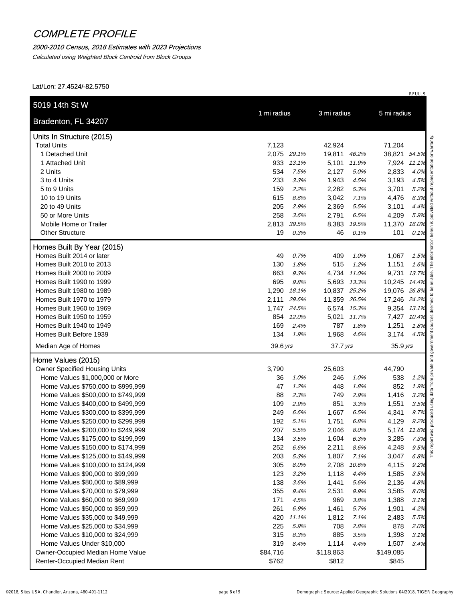#### 2000-2010 Census, 2018 Estimates with 2023 Projections

Calculated using Weighted Block Centroid from Block Groups

| Bradenton, FL 34207                                                      | 1 mi radius     |              | 3 mi radius        |              | 5 mi radius        |              |
|--------------------------------------------------------------------------|-----------------|--------------|--------------------|--------------|--------------------|--------------|
| Units In Structure (2015)                                                |                 |              |                    |              |                    |              |
| <b>Total Units</b>                                                       | 7,123           |              | 42,924             |              | 71,204             |              |
| 1 Detached Unit                                                          | 2,075 29.1%     |              | 19,811 46.2%       |              | 38,821 54.5%       |              |
| 1 Attached Unit                                                          | 933             | 13.1%        | 5,101              | 11.9%        | 7,924 11.1%        |              |
| 2 Units                                                                  | 534             | 7.5%         | 2,127              | 5.0%         | 2,833              | 4.0%         |
| 3 to 4 Units                                                             | 233             | 3.3%         | 1,943              | 4.5%         | 3,193              | 4.5%         |
| 5 to 9 Units                                                             | 159             | 2.2%         | 2,282              | 5.3%         | 3,701              | 5.2%         |
| 10 to 19 Units                                                           | 615             | 8.6%         | 3,042              | 7.1%         | 4,476              | 6.3%         |
| 20 to 49 Units                                                           | 205             | 2.9%         | 2,369              | 5.5%         | 3,101              | 4.4%         |
| 50 or More Units                                                         | 258             | 3.6%         | 2,791              | 6.5%         | 4,209              | 5.9%         |
| Mobile Home or Trailer                                                   | 2,813           | 39.5%        | 8,383              | 19.5%        | 11,370             | 16.0%        |
| <b>Other Structure</b>                                                   | 19              | 0.3%         | 46                 | 0.1%         | 101                | 0.1%         |
| Homes Built By Year (2015)                                               |                 |              |                    |              |                    |              |
| Homes Built 2014 or later                                                | 49              | 0.7%         | 409                | 1.0%         | 1,067              | 1.5%         |
| Homes Built 2010 to 2013                                                 | 130             | 1.8%         | 515                | 1.2%         | 1,151              | 1.6%         |
| Homes Built 2000 to 2009                                                 | 663             | 9.3%         | 4,734 11.0%        |              | 9,731              | 13.7%        |
| Homes Built 1990 to 1999                                                 | 695             | 9.8%         |                    | 5,693 13.3%  | 10,245 14.4%       |              |
| Homes Built 1980 to 1989                                                 | 1,290           | 18.1%        | 10,837 25.2%       |              | 19,076 26.8%       |              |
| Homes Built 1970 to 1979                                                 | 2,111           | 29.6%        | 11,359 26.5%       |              | 17,246 24.2%       |              |
| Homes Built 1960 to 1969                                                 | 1,747 24.5%     |              | 6,574 15.3%        |              | 9,354 13.1%        |              |
| Homes Built 1950 to 1959                                                 | 854 12.0%       |              |                    | 5,021 11.7%  | 7,427 10.4%        |              |
| Homes Built 1940 to 1949                                                 | 169             | 2.4%         | 787                | 1.8%         | 1,251              | 1.8%         |
| Homes Built Before 1939                                                  | 134             | 1.9%         | 1,968              | 4.6%         | 3,174              | 4.5%         |
| Median Age of Homes                                                      | 39.6 yrs        |              | $37.7$ yrs         |              | $35.9$ yrs         |              |
| Home Values (2015)                                                       |                 |              |                    |              |                    |              |
| Owner Specified Housing Units                                            | 3,790           |              | 25,603             |              | 44,790             |              |
| Home Values \$1,000,000 or More                                          | 36              | 1.0%         | 246                | 1.0%         | 538                | 1.2%         |
| Home Values \$750,000 to \$999,999                                       | 47              | 1.2%         | 448                | 1.8%         | 852                | 1.9%         |
| Home Values \$500,000 to \$749,999                                       | 88              | 2.3%         | 749                | 2.9%         | 1,416              | 3.2%         |
| Home Values \$400,000 to \$499,999                                       | 109             | 2.9%         | 851                | 3.3%         | 1,551              | 3.5%         |
| Home Values \$300,000 to \$399,999                                       | 249             | 6.6%         | 1,667              | 6.5%         | 4,341              | 9.7%         |
| Home Values \$250,000 to \$299,999<br>Home Values \$200,000 to \$249,999 | 192             | 5.1%         | 1,751              | 6.8%         | 4,129              | 9.2%         |
|                                                                          | 207             | 5.5%         | 2,046              | 8.0%         | 5,174 11.6%        |              |
| Home Values \$175,000 to \$199,999<br>Home Values \$150,000 to \$174,999 | 134<br>252      | 3.5%<br>6.6% | 1,604<br>2,211     | 6.3%         | 3,285              | 7.3%<br>9.5% |
| Home Values \$125,000 to \$149,999                                       | 203             | 5.3%         | 1,807              | 8.6%<br>7.1% | 4,248<br>3,047     | 6.8%         |
| Home Values \$100,000 to \$124,999                                       | 305             | 8.0%         | 2,708              | 10.6%        | 4,115              | 9.2%         |
| Home Values \$90,000 to \$99,999                                         | 123             | 3.2%         | 1,118              | 4.4%         | 1,585              | 3.5%         |
| Home Values \$80,000 to \$89,999                                         | 138             | 3.6%         | 1,441              | 5.6%         | 2,136              | 4.8%         |
| Home Values \$70,000 to \$79,999                                         | 355             | 9.4%         | 2,531              | 9.9%         | 3,585              | 8.0%         |
| Home Values \$60,000 to \$69,999                                         | 171             | 4.5%         | 969                | 3.8%         | 1,388              | 3.1%         |
| Home Values \$50,000 to \$59,999                                         | 261             | 6.9%         | 1,461              | 5.7%         | 1,901              | 4.2%         |
|                                                                          | 420             | 11.1%        | 1,812              | 7.1%         | 2,483              | 5.5%         |
|                                                                          |                 | 5.9%         | 708                | 2.8%         | 878                | 2.0%         |
| Home Values \$35,000 to \$49,999                                         |                 |              |                    |              |                    |              |
| Home Values \$25,000 to \$34,999                                         | 225             |              |                    |              |                    |              |
| Home Values \$10,000 to \$24,999                                         | 315             | 8.3%<br>8.4% | 885                | 3.5%         | 1,398              | 3.1%         |
| Home Values Under \$10,000<br>Owner-Occupied Median Home Value           | 319<br>\$84,716 |              | 1,114<br>\$118,863 | 4.4%         | 1,507<br>\$149,085 | 3.4%         |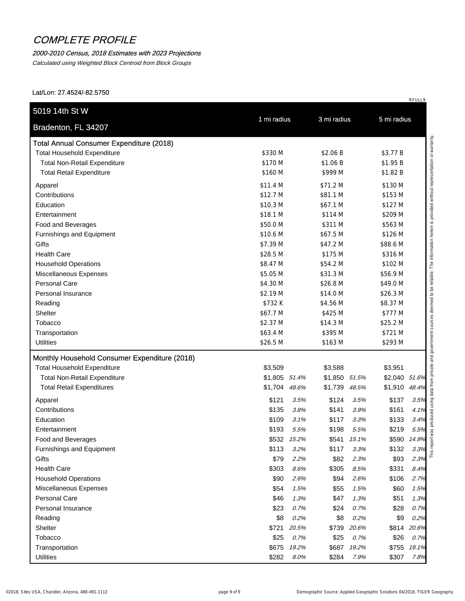#### 2000-2010 Census, 2018 Estimates with 2023 Projections

Calculated using Weighted Block Centroid from Block Groups

| ડ મ સ્પ્ર<br>સ્ટ્રી સ્ટ્રી સ્ટ્રી સ્ટ્રી<br>એ સ્ટ્રી સ્ટ્રી સ્ટ્રી સ્ટ્રી સ્ટ્રી<br>oduced using data from private and government sources deemed to be reliable. The information herein is provided without representation or warran<br><b>Total Annual Consumer Expenditure (2018)</b><br><b>Total Household Expenditure</b><br>\$330 M<br>\$2.06 B<br>\$3.77 B<br><b>Total Non-Retail Expenditure</b><br>\$170 M<br>\$1.06 B<br>\$1.95 B<br><b>Total Retail Expenditure</b><br>\$160 M<br>\$999 M<br>\$1.82 B<br>\$11.4 M<br>\$71.2 M<br>\$130 M<br>\$12.7 M<br>\$81.1 M<br>\$153 M<br>\$10.3 M<br>\$67.1 M<br>\$127 M<br>\$18.1 M<br>\$114 M<br>\$209 M<br>\$311 M<br>\$50.0 M<br>\$563 M<br>\$10.6 M<br>\$67.5 M<br>\$126 M<br>\$7.39 M<br>\$47.2 M<br>\$88.6 M<br>\$28.5 M<br>\$175 M<br>\$316 M<br>\$8.47 M<br>\$54.2 M<br>\$102 M<br>\$5.05 M<br>\$31.3 M<br>\$56.9 M<br>\$4.30 M<br>\$26.8 M<br>\$49.0 M<br>\$2.19 M<br>\$14.0 M<br>\$26.3 M<br>\$732K<br>\$4.56 M<br>\$8.37 M<br>\$67.7 M<br>\$425 M<br>\$777 M<br>\$2.37 M<br>\$14.3 M<br>\$25.2 M<br>\$63.4 M<br>\$395 M<br>\$721 M<br><b>Utilities</b><br>\$26.5 M<br>\$163 M<br>\$293 M<br>Monthly Household Consumer Expenditure (2018)<br>\$3,509<br>\$3,588<br>\$3,951<br><b>Total Non-Retail Expenditure</b><br>\$1,805 51.4%<br>\$1,850 51.5%<br>\$2,040 51.6%<br><b>Total Retail Expenditures</b><br>\$1,704<br>\$1,739<br>48.6%<br>48.5%<br>\$1,910<br>\$121<br>\$137<br>3.5%<br>\$124<br>3.5%<br>\$135<br>3.8%<br>\$141<br>3.9%<br>\$161<br>\$109<br>\$117<br>\$133<br>3.1%<br>3.3%<br>\$193<br>5.5%<br>\$198<br>\$219<br>5.5%<br>\$532<br>15.2%<br>\$590<br>\$541<br>15.1%<br>\$113<br>\$132<br>3.2%<br>\$117<br>3.3%<br>\$79<br>\$82<br>\$93<br>2.2%<br>2.3%<br>\$303<br>\$305<br>\$331<br>8.6%<br>8.5%<br>\$90<br>\$94<br>\$106<br>2.6%<br>2.6%<br>\$54<br>\$55<br>\$60<br>1.5%<br>1.5%<br>\$47<br>\$51<br>\$46<br>1.3%<br>1.3%<br>0.7%<br>\$23<br>0.7%<br>\$24<br>\$28<br>\$8<br>\$9<br>0.2%<br>\$8<br>0.2%<br>\$721<br>\$739<br>\$814<br>20.5%<br>20.6%<br>\$25<br>\$25<br>\$26<br>0.7%<br>0.7% | Bradenton, FL 34207                | 1 mi radius |       | 3 mi radius |       | 5 mi radius |       |
|---------------------------------------------------------------------------------------------------------------------------------------------------------------------------------------------------------------------------------------------------------------------------------------------------------------------------------------------------------------------------------------------------------------------------------------------------------------------------------------------------------------------------------------------------------------------------------------------------------------------------------------------------------------------------------------------------------------------------------------------------------------------------------------------------------------------------------------------------------------------------------------------------------------------------------------------------------------------------------------------------------------------------------------------------------------------------------------------------------------------------------------------------------------------------------------------------------------------------------------------------------------------------------------------------------------------------------------------------------------------------------------------------------------------------------------------------------------------------------------------------------------------------------------------------------------------------------------------------------------------------------------------------------------------------------------------------------------------------------------------------------------------------------------------------------------------------------------------------------------------------------------------------------------------------------------------------------------------------------------------------------------------------------------------------------------------------|------------------------------------|-------------|-------|-------------|-------|-------------|-------|
|                                                                                                                                                                                                                                                                                                                                                                                                                                                                                                                                                                                                                                                                                                                                                                                                                                                                                                                                                                                                                                                                                                                                                                                                                                                                                                                                                                                                                                                                                                                                                                                                                                                                                                                                                                                                                                                                                                                                                                                                                                                                           |                                    |             |       |             |       |             |       |
|                                                                                                                                                                                                                                                                                                                                                                                                                                                                                                                                                                                                                                                                                                                                                                                                                                                                                                                                                                                                                                                                                                                                                                                                                                                                                                                                                                                                                                                                                                                                                                                                                                                                                                                                                                                                                                                                                                                                                                                                                                                                           |                                    |             |       |             |       |             |       |
|                                                                                                                                                                                                                                                                                                                                                                                                                                                                                                                                                                                                                                                                                                                                                                                                                                                                                                                                                                                                                                                                                                                                                                                                                                                                                                                                                                                                                                                                                                                                                                                                                                                                                                                                                                                                                                                                                                                                                                                                                                                                           |                                    |             |       |             |       |             |       |
|                                                                                                                                                                                                                                                                                                                                                                                                                                                                                                                                                                                                                                                                                                                                                                                                                                                                                                                                                                                                                                                                                                                                                                                                                                                                                                                                                                                                                                                                                                                                                                                                                                                                                                                                                                                                                                                                                                                                                                                                                                                                           |                                    |             |       |             |       |             |       |
|                                                                                                                                                                                                                                                                                                                                                                                                                                                                                                                                                                                                                                                                                                                                                                                                                                                                                                                                                                                                                                                                                                                                                                                                                                                                                                                                                                                                                                                                                                                                                                                                                                                                                                                                                                                                                                                                                                                                                                                                                                                                           |                                    |             |       |             |       |             |       |
|                                                                                                                                                                                                                                                                                                                                                                                                                                                                                                                                                                                                                                                                                                                                                                                                                                                                                                                                                                                                                                                                                                                                                                                                                                                                                                                                                                                                                                                                                                                                                                                                                                                                                                                                                                                                                                                                                                                                                                                                                                                                           | Apparel                            |             |       |             |       |             |       |
|                                                                                                                                                                                                                                                                                                                                                                                                                                                                                                                                                                                                                                                                                                                                                                                                                                                                                                                                                                                                                                                                                                                                                                                                                                                                                                                                                                                                                                                                                                                                                                                                                                                                                                                                                                                                                                                                                                                                                                                                                                                                           | Contributions                      |             |       |             |       |             |       |
|                                                                                                                                                                                                                                                                                                                                                                                                                                                                                                                                                                                                                                                                                                                                                                                                                                                                                                                                                                                                                                                                                                                                                                                                                                                                                                                                                                                                                                                                                                                                                                                                                                                                                                                                                                                                                                                                                                                                                                                                                                                                           | Education                          |             |       |             |       |             |       |
|                                                                                                                                                                                                                                                                                                                                                                                                                                                                                                                                                                                                                                                                                                                                                                                                                                                                                                                                                                                                                                                                                                                                                                                                                                                                                                                                                                                                                                                                                                                                                                                                                                                                                                                                                                                                                                                                                                                                                                                                                                                                           | Entertainment                      |             |       |             |       |             |       |
|                                                                                                                                                                                                                                                                                                                                                                                                                                                                                                                                                                                                                                                                                                                                                                                                                                                                                                                                                                                                                                                                                                                                                                                                                                                                                                                                                                                                                                                                                                                                                                                                                                                                                                                                                                                                                                                                                                                                                                                                                                                                           | Food and Beverages                 |             |       |             |       |             |       |
|                                                                                                                                                                                                                                                                                                                                                                                                                                                                                                                                                                                                                                                                                                                                                                                                                                                                                                                                                                                                                                                                                                                                                                                                                                                                                                                                                                                                                                                                                                                                                                                                                                                                                                                                                                                                                                                                                                                                                                                                                                                                           | Furnishings and Equipment          |             |       |             |       |             |       |
|                                                                                                                                                                                                                                                                                                                                                                                                                                                                                                                                                                                                                                                                                                                                                                                                                                                                                                                                                                                                                                                                                                                                                                                                                                                                                                                                                                                                                                                                                                                                                                                                                                                                                                                                                                                                                                                                                                                                                                                                                                                                           | Gifts                              |             |       |             |       |             |       |
|                                                                                                                                                                                                                                                                                                                                                                                                                                                                                                                                                                                                                                                                                                                                                                                                                                                                                                                                                                                                                                                                                                                                                                                                                                                                                                                                                                                                                                                                                                                                                                                                                                                                                                                                                                                                                                                                                                                                                                                                                                                                           | <b>Health Care</b>                 |             |       |             |       |             |       |
|                                                                                                                                                                                                                                                                                                                                                                                                                                                                                                                                                                                                                                                                                                                                                                                                                                                                                                                                                                                                                                                                                                                                                                                                                                                                                                                                                                                                                                                                                                                                                                                                                                                                                                                                                                                                                                                                                                                                                                                                                                                                           | <b>Household Operations</b>        |             |       |             |       |             |       |
|                                                                                                                                                                                                                                                                                                                                                                                                                                                                                                                                                                                                                                                                                                                                                                                                                                                                                                                                                                                                                                                                                                                                                                                                                                                                                                                                                                                                                                                                                                                                                                                                                                                                                                                                                                                                                                                                                                                                                                                                                                                                           | Miscellaneous Expenses             |             |       |             |       |             |       |
|                                                                                                                                                                                                                                                                                                                                                                                                                                                                                                                                                                                                                                                                                                                                                                                                                                                                                                                                                                                                                                                                                                                                                                                                                                                                                                                                                                                                                                                                                                                                                                                                                                                                                                                                                                                                                                                                                                                                                                                                                                                                           | Personal Care                      |             |       |             |       |             |       |
|                                                                                                                                                                                                                                                                                                                                                                                                                                                                                                                                                                                                                                                                                                                                                                                                                                                                                                                                                                                                                                                                                                                                                                                                                                                                                                                                                                                                                                                                                                                                                                                                                                                                                                                                                                                                                                                                                                                                                                                                                                                                           | Personal Insurance                 |             |       |             |       |             |       |
|                                                                                                                                                                                                                                                                                                                                                                                                                                                                                                                                                                                                                                                                                                                                                                                                                                                                                                                                                                                                                                                                                                                                                                                                                                                                                                                                                                                                                                                                                                                                                                                                                                                                                                                                                                                                                                                                                                                                                                                                                                                                           | Reading                            |             |       |             |       |             |       |
|                                                                                                                                                                                                                                                                                                                                                                                                                                                                                                                                                                                                                                                                                                                                                                                                                                                                                                                                                                                                                                                                                                                                                                                                                                                                                                                                                                                                                                                                                                                                                                                                                                                                                                                                                                                                                                                                                                                                                                                                                                                                           | Shelter                            |             |       |             |       |             |       |
|                                                                                                                                                                                                                                                                                                                                                                                                                                                                                                                                                                                                                                                                                                                                                                                                                                                                                                                                                                                                                                                                                                                                                                                                                                                                                                                                                                                                                                                                                                                                                                                                                                                                                                                                                                                                                                                                                                                                                                                                                                                                           | Tobacco                            |             |       |             |       |             |       |
|                                                                                                                                                                                                                                                                                                                                                                                                                                                                                                                                                                                                                                                                                                                                                                                                                                                                                                                                                                                                                                                                                                                                                                                                                                                                                                                                                                                                                                                                                                                                                                                                                                                                                                                                                                                                                                                                                                                                                                                                                                                                           | Transportation                     |             |       |             |       |             |       |
|                                                                                                                                                                                                                                                                                                                                                                                                                                                                                                                                                                                                                                                                                                                                                                                                                                                                                                                                                                                                                                                                                                                                                                                                                                                                                                                                                                                                                                                                                                                                                                                                                                                                                                                                                                                                                                                                                                                                                                                                                                                                           |                                    |             |       |             |       |             |       |
|                                                                                                                                                                                                                                                                                                                                                                                                                                                                                                                                                                                                                                                                                                                                                                                                                                                                                                                                                                                                                                                                                                                                                                                                                                                                                                                                                                                                                                                                                                                                                                                                                                                                                                                                                                                                                                                                                                                                                                                                                                                                           |                                    |             |       |             |       |             |       |
|                                                                                                                                                                                                                                                                                                                                                                                                                                                                                                                                                                                                                                                                                                                                                                                                                                                                                                                                                                                                                                                                                                                                                                                                                                                                                                                                                                                                                                                                                                                                                                                                                                                                                                                                                                                                                                                                                                                                                                                                                                                                           | <b>Total Household Expenditure</b> |             |       |             |       |             | 48.4% |
|                                                                                                                                                                                                                                                                                                                                                                                                                                                                                                                                                                                                                                                                                                                                                                                                                                                                                                                                                                                                                                                                                                                                                                                                                                                                                                                                                                                                                                                                                                                                                                                                                                                                                                                                                                                                                                                                                                                                                                                                                                                                           |                                    |             |       |             |       |             |       |
|                                                                                                                                                                                                                                                                                                                                                                                                                                                                                                                                                                                                                                                                                                                                                                                                                                                                                                                                                                                                                                                                                                                                                                                                                                                                                                                                                                                                                                                                                                                                                                                                                                                                                                                                                                                                                                                                                                                                                                                                                                                                           | Apparel<br>Contributions           |             |       |             |       |             |       |
|                                                                                                                                                                                                                                                                                                                                                                                                                                                                                                                                                                                                                                                                                                                                                                                                                                                                                                                                                                                                                                                                                                                                                                                                                                                                                                                                                                                                                                                                                                                                                                                                                                                                                                                                                                                                                                                                                                                                                                                                                                                                           | Education                          |             |       |             |       |             |       |
|                                                                                                                                                                                                                                                                                                                                                                                                                                                                                                                                                                                                                                                                                                                                                                                                                                                                                                                                                                                                                                                                                                                                                                                                                                                                                                                                                                                                                                                                                                                                                                                                                                                                                                                                                                                                                                                                                                                                                                                                                                                                           | Entertainment                      |             |       |             |       |             | 5.5%  |
|                                                                                                                                                                                                                                                                                                                                                                                                                                                                                                                                                                                                                                                                                                                                                                                                                                                                                                                                                                                                                                                                                                                                                                                                                                                                                                                                                                                                                                                                                                                                                                                                                                                                                                                                                                                                                                                                                                                                                                                                                                                                           | Food and Beverages                 |             |       |             |       |             | 14.9% |
|                                                                                                                                                                                                                                                                                                                                                                                                                                                                                                                                                                                                                                                                                                                                                                                                                                                                                                                                                                                                                                                                                                                                                                                                                                                                                                                                                                                                                                                                                                                                                                                                                                                                                                                                                                                                                                                                                                                                                                                                                                                                           | Furnishings and Equipment          |             |       |             |       |             | 3.3%  |
|                                                                                                                                                                                                                                                                                                                                                                                                                                                                                                                                                                                                                                                                                                                                                                                                                                                                                                                                                                                                                                                                                                                                                                                                                                                                                                                                                                                                                                                                                                                                                                                                                                                                                                                                                                                                                                                                                                                                                                                                                                                                           | Gifts                              |             |       |             |       |             | 2.3%  |
|                                                                                                                                                                                                                                                                                                                                                                                                                                                                                                                                                                                                                                                                                                                                                                                                                                                                                                                                                                                                                                                                                                                                                                                                                                                                                                                                                                                                                                                                                                                                                                                                                                                                                                                                                                                                                                                                                                                                                                                                                                                                           | <b>Health Care</b>                 |             |       |             |       |             | 8.4%  |
|                                                                                                                                                                                                                                                                                                                                                                                                                                                                                                                                                                                                                                                                                                                                                                                                                                                                                                                                                                                                                                                                                                                                                                                                                                                                                                                                                                                                                                                                                                                                                                                                                                                                                                                                                                                                                                                                                                                                                                                                                                                                           | <b>Household Operations</b>        |             |       |             |       |             | 2.7%  |
|                                                                                                                                                                                                                                                                                                                                                                                                                                                                                                                                                                                                                                                                                                                                                                                                                                                                                                                                                                                                                                                                                                                                                                                                                                                                                                                                                                                                                                                                                                                                                                                                                                                                                                                                                                                                                                                                                                                                                                                                                                                                           | Miscellaneous Expenses             |             |       |             |       |             | 1.5%  |
|                                                                                                                                                                                                                                                                                                                                                                                                                                                                                                                                                                                                                                                                                                                                                                                                                                                                                                                                                                                                                                                                                                                                                                                                                                                                                                                                                                                                                                                                                                                                                                                                                                                                                                                                                                                                                                                                                                                                                                                                                                                                           | Personal Care                      |             |       |             |       |             | 1.3%  |
|                                                                                                                                                                                                                                                                                                                                                                                                                                                                                                                                                                                                                                                                                                                                                                                                                                                                                                                                                                                                                                                                                                                                                                                                                                                                                                                                                                                                                                                                                                                                                                                                                                                                                                                                                                                                                                                                                                                                                                                                                                                                           | Personal Insurance                 |             |       |             |       |             | 0.7%  |
|                                                                                                                                                                                                                                                                                                                                                                                                                                                                                                                                                                                                                                                                                                                                                                                                                                                                                                                                                                                                                                                                                                                                                                                                                                                                                                                                                                                                                                                                                                                                                                                                                                                                                                                                                                                                                                                                                                                                                                                                                                                                           | Reading                            |             |       |             |       |             | 0.2%  |
|                                                                                                                                                                                                                                                                                                                                                                                                                                                                                                                                                                                                                                                                                                                                                                                                                                                                                                                                                                                                                                                                                                                                                                                                                                                                                                                                                                                                                                                                                                                                                                                                                                                                                                                                                                                                                                                                                                                                                                                                                                                                           | Shelter                            |             |       |             |       |             | 20.6% |
|                                                                                                                                                                                                                                                                                                                                                                                                                                                                                                                                                                                                                                                                                                                                                                                                                                                                                                                                                                                                                                                                                                                                                                                                                                                                                                                                                                                                                                                                                                                                                                                                                                                                                                                                                                                                                                                                                                                                                                                                                                                                           | Tobacco                            |             |       |             |       |             | 0.7%  |
| \$307<br><b>Utilities</b><br>\$282<br>8.0%<br>\$284<br>7.9%<br>7.8%                                                                                                                                                                                                                                                                                                                                                                                                                                                                                                                                                                                                                                                                                                                                                                                                                                                                                                                                                                                                                                                                                                                                                                                                                                                                                                                                                                                                                                                                                                                                                                                                                                                                                                                                                                                                                                                                                                                                                                                                       | Transportation                     | \$675       | 19.2% | \$687       | 19.2% | \$755       | 19.1% |